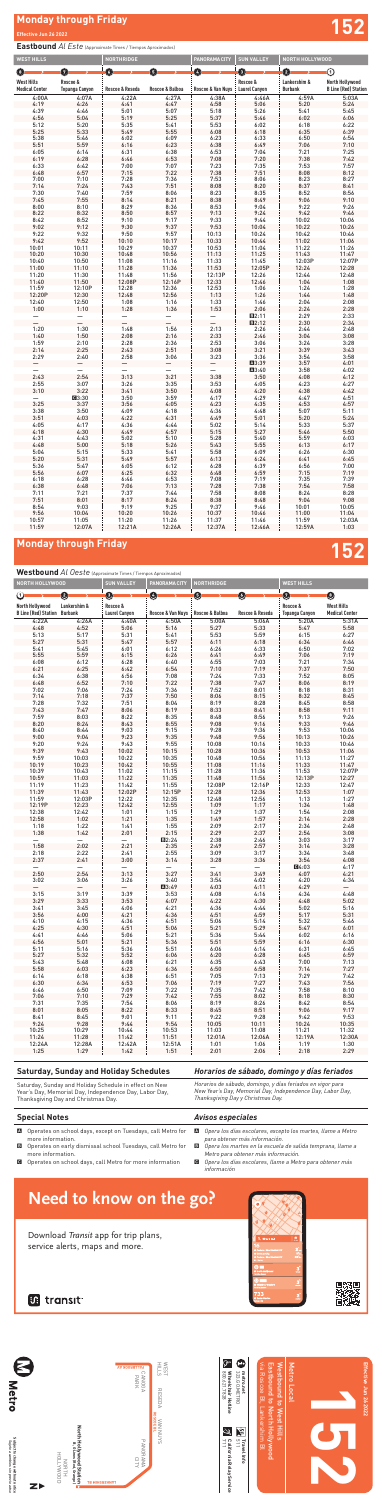# **Monday through Friday Effective Jun 26 2022 152**

## *Horarios de sábado, domingo y días feriados*

*Horarios de sábado, domingo, y días feriados en vigor para New Year's Day, Memorial Day, Independence Day, Labor Day, Thanksgiving Day y Christmas Day.*

## **Saturday, Sunday and Holiday Schedules**

Saturday, Sunday and Holiday Schedule in effect on New Year's Day, Memorial Day, Independence Day, Labor Day, Thanksgiving Day and Christmas Day.

## *Avisos especiales*

- A *Opera los días escolares, excepto los martes, llame a Metro para obtener más información.*
- B *Opera los martes en la escuela de salida temprana, llame a Metro para obtener más información.*
- C *Opera los días escolares, llame a Metro para obtener más información*

## **Special Notes**

- A Operates on school days, except on Tuesdays, call Metro for more information.
- B Operates on early dismissal school Tuesdays, call Metro for more information.
- C Operates on school days, call Metro for more information

## **Eastbound** *Al Este* (Approximate Times / Tiempos Aproximados)

Subject to change without notice<br>Sujeto a cambios sin previo aviso **Subject to change without notice** *Sujeto a cambios sin previo aviso*

**C** 511 711 **alifornia Relay Service**<br>**The Table Service** 



**Westbound** *Al Oeste* (Approximate Times / Tiempos Aproximados)

| <b>WEST HILLS</b>     |                       | <b>NORTHRIDGE</b> |                          | <b>PANORAMA CITY</b> | <b>SUN VALLEY</b>    | <b>NORTH HOLLYWOOD</b> |                             |
|-----------------------|-----------------------|-------------------|--------------------------|----------------------|----------------------|------------------------|-----------------------------|
| 8)                    | Ø                     | O                 | G)                       | Ø                    | 0                    | 0                      | ➀                           |
| <b>West Hills</b>     | Roscoe &              |                   |                          |                      | Roscoe &             | Lankershim &           | <b>North Hollywood</b>      |
| <b>Medical Center</b> | <b>Topanga Canyon</b> | Roscoe & Reseda   | Roscoe & Balboa          | Roscoe & Van Nuys    | <b>Laurel Canyon</b> | <b>Burbank</b>         | <b>B Line (Red) Station</b> |
| 4:00A                 | 4:07A                 | 4:22A             | 4:27A                    | 4:38A                | 4:46A                | 4:59A                  | 5:03A                       |
| 4:19                  | 4:26                  | 4:41              | 4:47                     | 4:58                 | 5:06                 | 5:20                   | 5:24                        |
| 4:39                  | 4:46                  | 5:01              | 5:07                     | 5:18                 | 5:26                 | 5:41                   | 5:45                        |
| 4:56                  | 5:04                  | 5:19              | 5:25                     | 5:37                 | 5:46                 | 6:02                   | 6:06                        |
| 5:12                  | 5:20                  | 5:35              | 5:41                     | 5:53                 | 6:02                 | 6:18                   | 6:22                        |
| 5:25                  | 5:33                  | 5:49              | 5:55                     | 6:08                 | 6:18                 | 6:35                   | 6:39                        |
| 5:38                  | 5:46                  | 6:02              | 6:09                     | 6:23                 | 6:33                 | 6:50                   | 6:54                        |
| 5:51                  | 5:59                  | 6:16              | 6:23                     | 6:38                 | 6:49                 | 7:06                   | 7:10                        |
| 6:05                  | 6:14                  | 6:31              | 6:38                     | 6:53                 | 7:04                 | 7:21                   | 7:25                        |
| 6:19                  | 6:28                  | 6:46              | 6:53                     | 7:08                 | 7:20                 | 7:38                   | 7:42                        |
| 6:33                  | 6:42                  | 7:00              | 7:07                     | 7:23                 | 7:35                 | 7:53                   | 7:57                        |
| 6:48                  | 6:57                  | 7:15              | 7:22                     | 7:38                 | 7:51                 | 8:08                   | 8:12                        |
| 7:00                  | 7:10                  | 7:28              | 7:36                     | 7:53                 | 8:06                 | 8:23                   | 8:27                        |
| 7:14                  | 7:24                  | 7:43              | 7:51                     | 8:08                 | 8:20                 | 8:37                   | 8:41                        |
| 7:30                  | 7:40                  | 7:59              | 8:06                     | 8:23                 | 8:35                 | 8:52                   | 8:56                        |
| 7:45                  | 7:55                  | 8:14              | 8:21                     | 8:38                 | 8:49                 | 9:06                   | 9:10                        |
| 8:00                  | 8:10                  | 8:29              | 8:36                     | 8:53                 | 9:04                 | 9:22                   | 9:26                        |
| 8:22                  | 8:32                  | 8:50              | 8:57                     | 9:13                 | 9:24                 | 9:42                   | 9:46                        |
|                       |                       |                   |                          |                      |                      |                        |                             |
| 8:42                  | 8:52                  | 9:10              | 9:17                     | 9:33                 | 9:44                 | 10:02                  | 10:06                       |
| 9:02                  | 9:12                  | 9:30              | 9:37                     | 9:53                 | 10:04                | 10:22                  | 10:26                       |
| 9:22                  | 9:32                  | 9:50              | 9:57                     | 10:13                | 10:24                | 10:42                  | 10:46                       |
| 9:42                  | 9:52                  | 10:10             | 10:17                    | 10:33                | 10:44                | 11:02                  | 11:06                       |
| 10:01                 | 10:11                 | 10:29             | 10:37                    | 10:53                | 11:04                | 11:22                  | 11:26                       |
| 10:20                 | 10:30                 | 10:48             | 10:56                    | 11:13                | 11:25                | 11:43                  | 11:47                       |
| 10:40                 | 10:50                 | 11:08             | 11:16                    | 11:33                | 11:45                | 12:03P                 | 12:07P                      |
| 11:00                 | 11:10                 | 11:28             | 11:36                    | 11:53                | 12:05P               | 12:24                  | 12:28                       |
| 11:20                 | 11:30                 | 11:48             | 11:56                    | 12:13P               | 12:26                | 12:44                  | 12:48                       |
| 11:40                 | 11:50                 | 12:08P            | 12:16P                   | 12:33                | 12:46                | 1:04                   | 1:08                        |
| 11:59                 | 12:10P                | 12:28             | 12:36                    | 12:53                | 1:06                 | 1:24                   | 1:28                        |
| 12:20P                | 12:30                 | 12:48             | 12:56                    | 1:13                 | 1:26                 | 1:44                   | 1:48                        |
| 12:40                 | 12:50                 | 1:08              | 1:16                     | 1:33                 | 1:46                 | 2:04                   | 2:08                        |
| 1:00                  | 1:10                  | 1:28              | 1:36                     | 1:53                 | 2:06                 | 2:24                   | 2:28                        |
|                       |                       |                   |                          |                      | B2:11                | 2:29                   | 2:33                        |
|                       |                       |                   | $\overline{\phantom{0}}$ |                      | B2:12                | 2:30                   | 2:34                        |
| 1:20                  | 1:30                  | 1:48              | 1:56                     | 2:13                 | 2:26                 | 2:44                   | 2:48                        |
| 1:40                  | 1:50                  | 2:08              | 2:16                     | 2:33                 | 2:46                 | 3:04                   | 3:08                        |
| 1:59                  | 2:10                  | 2:28              | 2:36                     | 2:53                 | 3:06                 | 3:24                   | 3:28                        |
| 2:14                  | 2:25                  | 2:43              | 2:51                     | 3:08                 | 3:21                 | 3:39                   | 3:43                        |
| 2:29                  | 2:40                  | 2:58              | 3:06                     | 3:23                 | 3:36                 | 3:54                   | 3:58                        |
|                       |                       |                   |                          |                      | ■3:39                | 3:57                   | 4:01                        |
| —                     |                       |                   | —                        | —                    | A3:40                | 3:58                   | 4:02                        |
| 2:43                  | 2:54                  | 3:13              | 3:21                     | 3:38                 | 3:50                 | 4:08                   | 4:12                        |
| 2:55                  | 3:07                  | 3:26              | 3:35                     | 3:53                 | 4:05                 | 4:23                   | 4:27                        |
| 3:10                  | 3:22                  | 3:41              | 3:50                     | 4:08                 | 4:20                 | 4:38                   | 4:42                        |
|                       | <b>C</b> 3:30         | 3:50              | 3:59                     | 4:17                 | 4:29                 | 4:47                   | 4:51                        |
| 3:25                  | 3:37                  | 3:56              | 4:05                     | 4:23                 | 4:35                 | 4:53                   | 4:57                        |
| 3:38                  | 3:50                  | 4:09              | 4:18                     | 4:36                 | 4:48                 | 5:07                   | 5:11                        |
| 3:51                  | 4:03                  | 4:22              | 4:31                     | 4:49                 | 5:01                 | 5:20                   | 5:24                        |
| 4:05                  | 4:17                  | 4:36              | 4:44                     | 5:02                 | 5:14                 | 5:33                   | 5:37                        |
| 4:18                  | 4:30                  | 4:49              | 4:57                     | 5:15                 | 5:27                 | 5:46                   | 5:50                        |
| 4:31                  | 4:43                  | 5:02              | 5:10                     | 5:28                 | 5:40                 | 5:59                   | 6:03                        |
| 4:48                  | 5:00                  | 5:18              | 5:26                     | 5:43                 | 5:55                 | 6:13                   | 6:17                        |
| 5:04                  | 5:15                  | 5:33              | 5:41                     | 5:58                 | 6:09                 | 6:26                   | 6:30                        |
|                       |                       |                   |                          |                      |                      |                        |                             |
| 5:20                  | 5:31<br>5:47          | 5:49              | 5:57                     | 6:13                 | 6:24                 | 6:41                   | 6:45                        |
| 5:36                  |                       | 6:05              | 6:12                     | 6:28                 | 6:39                 | 6:56                   | 7:00                        |
| 5:56                  | 6:07                  | 6:25              | 6:32                     | 6:48                 | 6:59                 | 7:15                   | 7:19                        |
| 6:18                  | 6:28                  | 6:46              | 6:53                     | 7:08                 | 7:19                 | 7:35                   | 7:39                        |
| 6:38                  | 6:48                  | 7:06              | 7:13                     | 7:28                 | 7:38                 | 7:54                   | 7:58                        |
| 7:11                  | 7:21                  | 7:37              | 7:44                     | 7:58                 | 8:08                 | 8:24                   | 8:28                        |
| 7:51                  | 8:01                  | 8:17              | 8:24                     | 8:38                 | 8:48                 | 9:04                   | 9:08                        |
| 8:54                  | 9:03                  | 9:19              | 9:25                     | 9:37                 | 9:46                 | 10:01                  | 10:05                       |
| 9:56                  | 10:04                 | 10:20             | 10:26                    | 10:37                | 10:46                | 11:00                  | 11:04                       |
| 10:57                 | 11:05                 | 11:20             | 11:26                    | 11:37                | 11:46                | 11:59                  | 12:03A                      |
| 11:59                 | 12:07A                | 12:21A            | 12:26A                   | 12:37A               | 12:46A               | 12:59A                 | 1:03                        |

# Monday through Friday **152**

| At OCSIC (Approximate Times / Tiempos Aproximados)<br>NORTH HOLLYWOOD |              | <b>SUN VALLEY</b>                | PANORAMA CITY     | <b>NORTHRIDGE</b> |                 | <b>WEST HILLS</b>                 |                                            |
|-----------------------------------------------------------------------|--------------|----------------------------------|-------------------|-------------------|-----------------|-----------------------------------|--------------------------------------------|
| $\rm{O}$                                                              | 0            | ◉                                | $\bullet$         | ❺                 | $\bullet$       | Ø                                 | $\bf{O}$                                   |
| North Hollywood<br><b>B Line (Red) Station Burbank</b>                | Lankershim & | Roscoe &<br><b>Laurel Canyon</b> | Roscoe & Van Nuys | Roscoe & Balboa   | Roscoe & Reseda | Roscoe &<br><b>Topanga Canyon</b> | <b>West Hills</b><br><b>Medical Center</b> |
| 4:22A                                                                 | 4:26A        | 4:40A                            | 4:50A             | 5:00A             | 5:06A           | 5:20A                             | 5:31A                                      |
| 4:48                                                                  | 4:52         | 5:06                             | 5:16              | 5:27              | 5:33            | 5:47                              | 5:58                                       |
| 5:13                                                                  | 5:17         | 5:31                             | 5:41              | 5:53              | 5:59            | 6:15                              | 6:27                                       |
| 5:27                                                                  | 5:31         | 5:47                             | 5:57              | 6:11              | 6:18            | 6:34                              | 6:46                                       |
| 5:41                                                                  | 5:45         | 6:01                             | 6:12              | 6:26              | 6:33            | 6:50                              | 7:02                                       |
| 5:55                                                                  | 5:59         | 6:15                             | 6:26              | 6:41              | 6:49            | 7:06                              | 7:19                                       |
| 6:08                                                                  | 6:12         | 6:28                             | 6:40              | 6:55              | 7:03            | 7:21                              | 7:34                                       |
| 6:21                                                                  | 6:25         | 6:42                             | 6:54              | 7:10              | 7:19            | 7:37                              | 7:50                                       |
| 6:34                                                                  | 6:38         | 6:56                             | 7:08              | 7:24              | 7:33            | 7:52                              | 8:05                                       |
| 6:48                                                                  | 6:52         | 7:10                             | 7:22              | 7:38              | 7:47            | 8:06                              | 8:19                                       |
| 7:02                                                                  | 7:06         | 7:24                             | 7:36              | 7:52              | 8:01            | 8:18                              | 8:31                                       |
| 7:14                                                                  | 7:18         | 7:37                             | 7:50              | 8:06              | 8:15            | 8:32                              | 8:45                                       |
| 7:28                                                                  | 7:32         | 7:51                             | 8:04              | 8:19              | 8:28            | 8:45                              | 8:58                                       |
| 7:43                                                                  | 7:47         | 8:06                             | 8:19              | 8:33              | 8:41            | 8:58                              | 9:11                                       |
| 7:59                                                                  | 8:03         | 8:22                             | 8:35              | 8:48              | 8:56            | 9:13                              | 9:26                                       |
| 8:20                                                                  | 8:24         | 8:43                             | 8:55              | 9:08              | 9:16            | 9:33                              | 9:46                                       |
| 8:40                                                                  | 8:44         | 9:03                             | 9:15              | 9:28              | 9:36            | 9:53                              | 10:06                                      |
| 9:00                                                                  | 9:04         | 9:23                             | 9:35              | 9:48              | 9:56            | 10:13                             | 10:26                                      |
| 9:20                                                                  | 9:24         | 9:43                             | 9:55              | 10:08             | 10:16           | 10:33                             | 10:46                                      |
| 9:39                                                                  | 9:43         | 10:02                            | 10:15             | 10:28             | 10:36           | 10:53                             | 11:06                                      |
| 9:59                                                                  | 10:03        | 10:22                            | 10:35             | 10:48             | 10:56           | 11:13                             | 11:27                                      |
| 10:19                                                                 | 10:23        | 10:42                            | 10:55             | 11:08             | 11:16           | 11:33                             | 11:47                                      |
| 10:39                                                                 | 10:43        | 11:02                            | 11:15             | 11:28             | 11:36           | 11:53                             | 12:07P                                     |
| 10:59                                                                 | 11:03        | 11:22                            | 11:35             | 11:48             | 11:56           | 12:13P                            | 12:27                                      |
| 11:19                                                                 | 11:23        | 11:42                            | 11:55             | 12:08P            | 12:16P          | 12:33                             | 12:47                                      |
| 11:39                                                                 | 11:43        | 12:02P                           | 12:15P            | 12:28             | 12:36           | 12:53                             | 1:07                                       |
| 11:59                                                                 | 12:03P       | 12:22                            | 12:35             | 12:48             | 12:56           | 1:13                              | 1:27                                       |
| 12:19P                                                                | 12:23        | 12:42                            | 12:55             | 1:09              | 1:17            | 1:34                              | 1:48                                       |
| 12:38                                                                 | 12:42        | 1:01                             | 1:15              | 1:29              | 1:37            | 1:54                              | 2:08                                       |
| 12:58                                                                 | 1:02         | 1:21                             | 1:35              | 1:49              | 1:57            | 2:14                              | 2:28                                       |
| 1:18                                                                  | 1:22         | 1:41                             | 1:55              | 2:09              | 2:17            | 2:34                              | 2:48                                       |
| 1:38                                                                  | 1:42         | 2:01                             | 2:15              | 2:29              | 2:37            | 2:54                              | 3:08                                       |
|                                                                       |              |                                  | B2:24             | 2:38              | 2:46            | 3:03                              | 3:17                                       |
| 1:58                                                                  | 2:02         | 2:21                             | 2:35              | 2:49              | 2:57            | 3:14                              | 3:28                                       |
| 2:18                                                                  | 2:22         | 2:41                             | 2:55              | 3:09              | 3:17            | 3:34                              | 3:48                                       |
| 2:37                                                                  | 2:41         | 3:00                             | 3:14              | 3:28              | 3:36            | 3:54                              | 4:08                                       |
|                                                                       |              |                                  |                   |                   |                 |                                   |                                            |
|                                                                       |              |                                  | 3:27              |                   |                 | <b>C</b> 4:03                     | 4:17                                       |
| 2:50                                                                  | 2:54         | 3:13                             |                   | 3:41              | 3:49            | 4:07                              | 4:21                                       |
| 3:02                                                                  | 3:06         | 3:26                             | 3:40              | 3:54              | 4:02            | 4:20                              | 4:34                                       |
|                                                                       |              |                                  | A3:49             | 4:03              | 4:11            | 4:29                              |                                            |
| 3:15                                                                  | 3:19         | 3:39                             | 3:53              | 4:08              | 4:16            | 4:34                              | 4:48                                       |
| 3:29                                                                  | 3:33         | 3:53                             | 4:07              | 4:22              | 4:30            | 4:48                              | 5:02                                       |
| 3:41                                                                  | 3:45         | 4:06                             | 4:21              | 4:36              | 4:44            | 5:02                              | 5:16                                       |
| 3:56                                                                  | 4:00         | 4:21                             | 4:36              | 4:51              | 4:59            | 5:17                              | 5:31                                       |
| 4:10                                                                  | 4:15         | 4:36                             | 4:51              | 5:06              | 5:14            | 5:32                              | 5:46                                       |
| 4:25                                                                  | 4:30         | 4:51                             | 5:06              | 5:21              | 5:29            | 5:47                              | 6:01                                       |
| 4:41                                                                  | 4:46         | 5:06                             | 5:21              | 5:36              | 5:44            | 6:02                              | 6:16                                       |
| 4:56                                                                  | 5:01         | 5:21                             | 5:36              | 5:51              | 5:59            | 6:16                              | 6:30                                       |
| 5:11                                                                  | 5:16         | 5:36                             | 5:51              | 6:06              | 6:14            | 6:31                              | 6:45                                       |
| 5:27                                                                  | 5:32         | 5:52                             | 6:06              | 6:20              | 6:28            | 6:45                              | 6:59                                       |
| 5:43                                                                  | 5:48         | 6:08                             | 6:21              | 6:35              | 6:43            | 7:00                              | 7:13                                       |
| 5:58                                                                  | 6:03         | 6:23                             | 6:36              | 6:50              | 6:58            | 7:14                              | 7:27                                       |
| 6:14                                                                  | 6:18         | 6:38                             | 6:51              | 7:05              | 7:13            | 7:29                              | 7:42                                       |
| 6:30                                                                  | 6:34         | 6:53                             | 7:06              | 7:19              | 7:27            | 7:43                              | 7:56                                       |
| 6:46                                                                  | 6:50         | 7:09                             | 7:22              | 7:35              | 7:42            | 7:58                              | 8:10                                       |
| 7:06                                                                  | 7:10         | 7:29                             | 7:42              | 7:55              | 8:02            | 8:18                              | 8:30                                       |
| 7:31                                                                  | 7:35         | 7:54                             | 8:06              | 8:19              | 8:26            | 8:42                              | 8:54                                       |
| 8:01                                                                  | 8:05         | 8:22                             | 8:33              | 8:45              | 8:51            | 9:06                              | 9:17                                       |
| 8:41                                                                  | 8:45         | 9:01                             | 9:11              | 9:22              | 9:28            | 9:42                              | 9:53                                       |
| 9:24                                                                  | 9:28         | 9:44                             | 9:54              | 10:05             | 10:11           | 10:24                             | 10:35                                      |
| 10:25                                                                 | 10:29        | 10:44                            | 10:53             | 11:03             | 11:08           | 11:21                             | 11:32                                      |
| 11:24                                                                 | 11:28        | 11:42                            | 11:51             | 12:01A            | 12:06A          | 12:19A                            | 12:30A                                     |
| 12:24A                                                                | 12:28A       | 12:42A                           | 12:51A            | 1:01              | 1:06            | 1:19                              | 1:30                                       |
| 1:25                                                                  | 1:29         | 1:42                             | 1:51              | 2:01              | 2:06            | 2:18                              | 2:29                                       |
|                                                                       |              |                                  |                   |                   |                 |                                   |                                            |

**Travel Info**



800.621.7828

**Effective Jun 26 2022**

Effective Jun 26 2022

**B** transit











# **Need to know on the go?**

Download Transit app for trip plans, service alerts, maps and more.